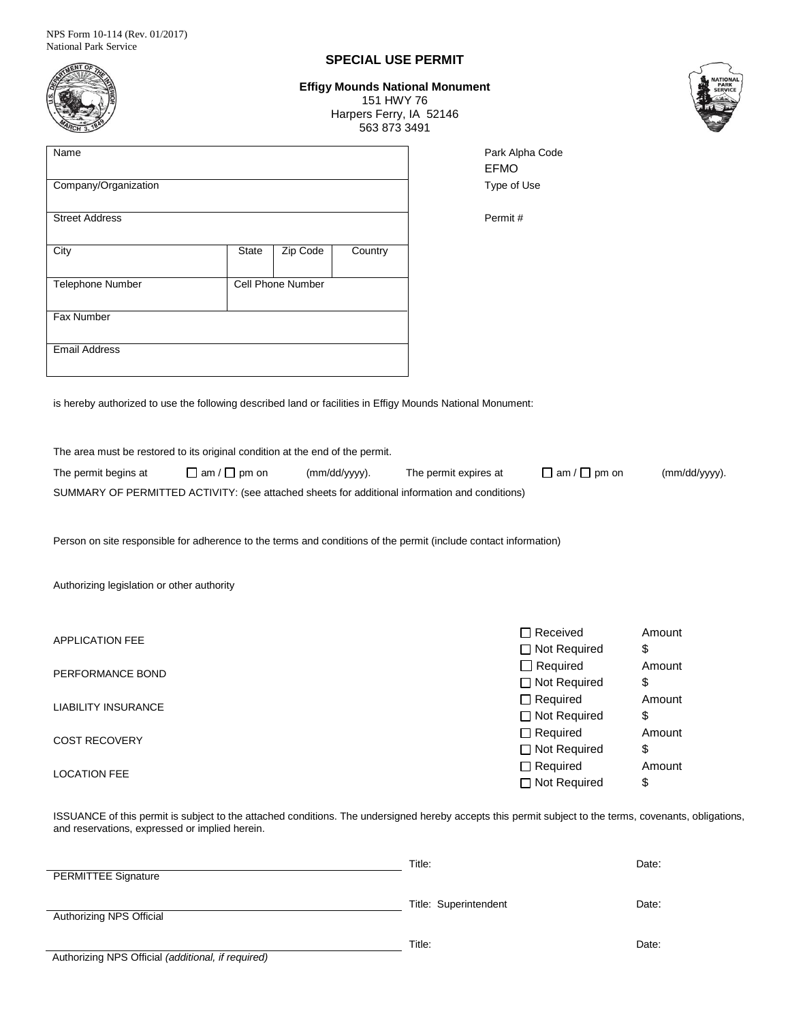|                                                                                                                                                                                                           |               |                       |         | <b>SPECIAL USE PERMIT</b> |               |                                   |              |  |
|-----------------------------------------------------------------------------------------------------------------------------------------------------------------------------------------------------------|---------------|-----------------------|---------|---------------------------|---------------|-----------------------------------|--------------|--|
| <b>Effigy Mounds National Monument</b><br>151 HWY 76<br>Harpers Ferry, IA 52146<br>563 873 3491                                                                                                           |               |                       |         |                           |               |                                   |              |  |
| Name                                                                                                                                                                                                      |               |                       |         |                           | <b>EFMO</b>   | Park Alpha Code                   |              |  |
| Company/Organization                                                                                                                                                                                      |               | Type of Use           |         |                           |               |                                   |              |  |
| <b>Street Address</b>                                                                                                                                                                                     |               |                       | Permit# |                           |               |                                   |              |  |
| City                                                                                                                                                                                                      | <b>State</b>  | Zip Code              | Country |                           |               |                                   |              |  |
| Telephone Number                                                                                                                                                                                          |               | Cell Phone Number     |         |                           |               |                                   |              |  |
| Fax Number                                                                                                                                                                                                |               |                       |         |                           |               |                                   |              |  |
| <b>Email Address</b>                                                                                                                                                                                      |               |                       |         |                           |               |                                   |              |  |
| is hereby authorized to use the following described land or facilities in Effigy Mounds National Monument:                                                                                                |               |                       |         |                           |               |                                   |              |  |
| The area must be restored to its original condition at the end of the permit.                                                                                                                             |               |                       |         |                           |               |                                   |              |  |
| $\Box$ am / $\Box$ pm on<br>The permit begins at                                                                                                                                                          | (mm/dd/yyyy). | The permit expires at |         | $\Box$ am / $\Box$ pm on  | (mm/dd/yyyy). |                                   |              |  |
| SUMMARY OF PERMITTED ACTIVITY: (see attached sheets for additional information and conditions)                                                                                                            |               |                       |         |                           |               |                                   |              |  |
| Person on site responsible for adherence to the terms and conditions of the permit (include contact information)                                                                                          |               |                       |         |                           |               |                                   |              |  |
| Authorizing legislation or other authority                                                                                                                                                                |               |                       |         |                           |               |                                   |              |  |
|                                                                                                                                                                                                           |               |                       |         |                           |               |                                   |              |  |
| <b>APPLICATION FEE</b>                                                                                                                                                                                    |               |                       |         |                           |               | □ Received                        | Amount       |  |
| PERFORMANCE BOND                                                                                                                                                                                          |               |                       |         |                           |               | □ Not Required<br>$\Box$ Required | \$<br>Amount |  |
|                                                                                                                                                                                                           |               |                       |         |                           |               | □ Not Required<br>$\Box$ Required | \$<br>Amount |  |
| <b>LIABILITY INSURANCE</b>                                                                                                                                                                                |               |                       |         |                           |               | □ Not Required                    | \$           |  |
| <b>COST RECOVERY</b>                                                                                                                                                                                      |               |                       |         |                           |               | $\Box$ Required                   | Amount       |  |
|                                                                                                                                                                                                           |               |                       |         |                           |               | □ Not Required<br>$\Box$ Required | \$<br>Amount |  |
| <b>LOCATION FEE</b>                                                                                                                                                                                       |               |                       |         |                           |               | □ Not Required                    | \$           |  |
| ISSUANCE of this permit is subject to the attached conditions. The undersigned hereby accepts this permit subject to the terms, covenants, obligations,<br>and reservations, expressed or implied herein. |               |                       |         |                           |               |                                   |              |  |

|                                                    | Title:                | Date: |
|----------------------------------------------------|-----------------------|-------|
| <b>PERMITTEE Signature</b>                         |                       |       |
|                                                    |                       |       |
|                                                    | Title: Superintendent | Date: |
| Authorizing NPS Official                           |                       |       |
|                                                    |                       |       |
|                                                    | Title:                | Date: |
| Authorizing NPS Official (additional, if required) |                       |       |